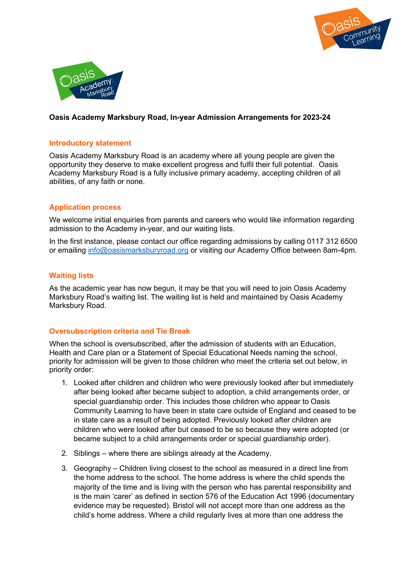



# Oasis Academy Marksbury Road, In-year Admission Arrangements for 2023-24

#### Introductory statement

Oasis Academy Marksbury Road is an academy where all young people are given the opportunity they deserve to make excellent progress and fulfil their full potential. Oasis Academy Marksbury Road is a fully inclusive primary academy, accepting children of all abilities, of any faith or none.

# Application process

We welcome initial enquiries from parents and careers who would like information regarding admission to the Academy in-year, and our waiting lists.

In the first instance, please contact our office regarding admissions by calling 0117 312 6500 or emailing info@oasismarksburyroad.org or visiting our Academy Office between 8am-4pm.

#### Waiting lists

As the academic year has now begun, it may be that you will need to join Oasis Academy Marksbury Road's waiting list. The waiting list is held and maintained by Oasis Academy Marksbury Road.

# Oversubscription criteria and Tie Break

When the school is oversubscribed, after the admission of students with an Education, Health and Care plan or a Statement of Special Educational Needs naming the school, priority for admission will be given to those children who meet the criteria set out below, in priority order:

- 1. Looked after children and children who were previously looked after but immediately after being looked after became subject to adoption, a child arrangements order, or special guardianship order. This includes those children who appear to Oasis Community Learning to have been in state care outside of England and ceased to be in state care as a result of being adopted. Previously looked after children are children who were looked after but ceased to be so because they were adopted (or became subject to a child arrangements order or special guardianship order).
- 2. Siblings where there are siblings already at the Academy.
- 3. Geography Children living closest to the school as measured in a direct line from the home address to the school. The home address is where the child spends the majority of the time and is living with the person who has parental responsibility and is the main 'carer' as defined in section 576 of the Education Act 1996 (documentary evidence may be requested). Bristol will not accept more than one address as the child's home address. Where a child regularly lives at more than one address the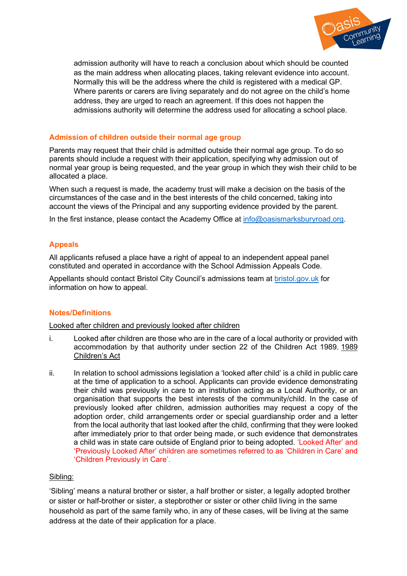

admission authority will have to reach a conclusion about which should be counted as the main address when allocating places, taking relevant evidence into account. Normally this will be the address where the child is registered with a medical GP. Where parents or carers are living separately and do not agree on the child's home address, they are urged to reach an agreement. If this does not happen the admissions authority will determine the address used for allocating a school place.

# Admission of children outside their normal age group

Parents may request that their child is admitted outside their normal age group. To do so parents should include a request with their application, specifying why admission out of normal year group is being requested, and the year group in which they wish their child to be allocated a place.

When such a request is made, the academy trust will make a decision on the basis of the circumstances of the case and in the best interests of the child concerned, taking into account the views of the Principal and any supporting evidence provided by the parent.

In the first instance, please contact the Academy Office at info@oasismarksburyroad.org.

# Appeals

All applicants refused a place have a right of appeal to an independent appeal panel constituted and operated in accordance with the School Admission Appeals Code.

Appellants should contact Bristol City Council's admissions team at **bristol.gov.uk** for information on how to appeal.

# Notes/Definitions

Looked after children and previously looked after children

- i. Looked after children are those who are in the care of a local authority or provided with accommodation by that authority under section 22 of the Children Act 1989. 1989 Children's Act
- ii. In relation to school admissions legislation a 'looked after child' is a child in public care at the time of application to a school. Applicants can provide evidence demonstrating their child was previously in care to an institution acting as a Local Authority, or an organisation that supports the best interests of the community/child. In the case of previously looked after children, admission authorities may request a copy of the adoption order, child arrangements order or special guardianship order and a letter from the local authority that last looked after the child, confirming that they were looked after immediately prior to that order being made, or such evidence that demonstrates a child was in state care outside of England prior to being adopted. 'Looked After' and 'Previously Looked After' children are sometimes referred to as 'Children in Care' and 'Children Previously in Care'.

# Sibling:

'Sibling' means a natural brother or sister, a half brother or sister, a legally adopted brother or sister or half-brother or sister, a stepbrother or sister or other child living in the same household as part of the same family who, in any of these cases, will be living at the same address at the date of their application for a place.